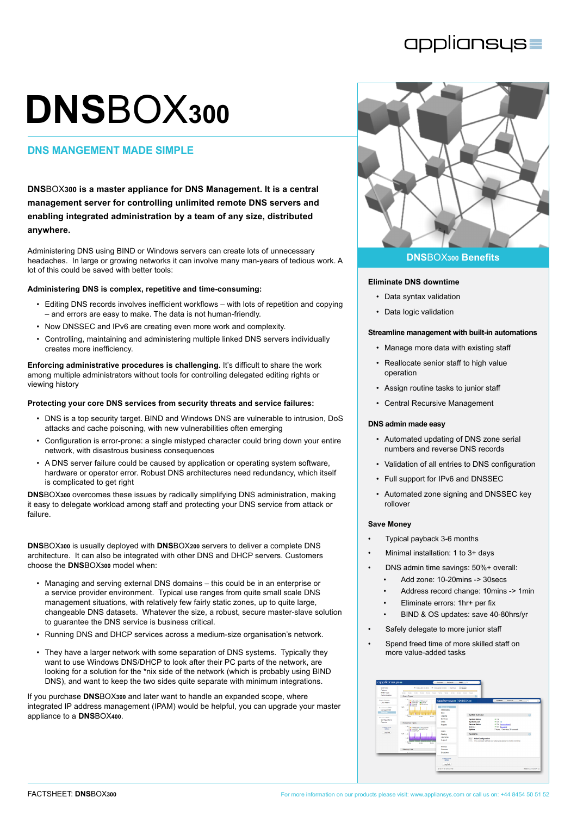# appliansys

# **DNS**BOX**<sup>300</sup>**

# **dns MANGEMENT MADE SIMPLE**

**DNS**BOX**300 is a master appliance for DNS Management. It is a central management server for controlling unlimited remote DNS servers and enabling integrated administration by a team of any size, distributed anywhere.**

Administering DNS using BIND or Windows servers can create lots of unnecessary headaches. In large or growing networks it can involve many man-years of tedious work. A lot of this could be saved with better tools:

# **Administering DNS is complex, repetitive and time-consuming:**

- Editing DNS records involves inefficient workflows with lots of repetition and copying – and errors are easy to make. The data is not human-friendly.
- Now DNSSEC and IPv6 are creating even more work and complexity.
- • Controlling, maintaining and administering multiple linked DNS servers individually creates more inefficiency.

**Enforcing administrative procedures is challenging.** It's difficult to share the work among multiple administrators without tools for controlling delegated editing rights or viewing history

# **Protecting your core DNS services from security threats and service failures:**

- DNS is a top security target. BIND and Windows DNS are vulnerable to intrusion, DoS attacks and cache poisoning, with new vulnerabilities often emerging
- Configuration is error-prone: a single mistyped character could bring down your entire network, with disastrous business consequences
- A DNS server failure could be caused by application or operating system software, hardware or operator error. Robust DNS architectures need redundancy, which itself is complicated to get right

**DNS**BOX**300** overcomes these issues by radically simplifying DNS administration, making it easy to delegate workload among staff and protecting your DNS service from attack or failure.

**DNS**BOX**300** is usually deployed with **DNS**BOX**200** servers to deliver a complete DNS architecture. It can also be integrated with other DNS and DHCP servers. Customers choose the **DNS**BOX**300** model when:

- Managing and serving external DNS domains this could be in an enterprise or a service provider environment. Typical use ranges from quite small scale DNS management situations, with relatively few fairly static zones, up to quite large, changeable DNS datasets. Whatever the size, a robust, secure master-slave solution to guarantee the DNS service is business critical.
- Running DNS and DHCP services across a medium-size organisation's network.
- They have a larger network with some separation of DNS systems. Typically they want to use Windows DNS/DHCP to look after their PC parts of the network, are looking for a solution for the \*nix side of the network (which is probably using BIND DNS), and want to keep the two sides quite separate with minimum integrations.

If you purchase **DNS**BOX**300** and later want to handle an expanded scope, where integrated IP address management (IPAM) would be helpful, you can upgrade your master appliance to a **DNS**BOX**400**.



# **Eliminate DNS downtime**

- • Data syntax validation
- Data logic validation

# **Streamline management with built-in automations**

- Manage more data with existing staff
- • Reallocate senior staff to high value operation
- • Assign routine tasks to junior staff
- • Central Recursive Management

### **DNS admin made easy**

- • Automated updating of DNS zone serial numbers and reverse DNS records
- • Validation of all entries to DNS configuration
- • Full support for IPv6 and DNSSEC
- • Automated zone signing and DNSSEC key rollover

### **Save Money**

- Typical payback 3-6 months
- Minimal installation: 1 to 3+ days
- DNS admin time savings: 50%+ overall:
	- Add zone: 10-20mins -> 30secs
	- Address record change: 10mins -> 1min
	- Eliminate errors: 1hr+ per fix
	- BIND & OS updates: save 40-80hrs/yr
- Safely delegate to more junior staff
- Spend freed time of more skilled staff on more value-added tasks

| Ovensear<br>Enlister                                                                                                                        | $\left  \bullet \right $ Lodge<br>IR 100m 2012 10:49:03<br>P 100m 2012 12:49:03<br>testhout<br><b>Ballion</b><br><b>THE COLL</b><br>14.00<br>16.92<br>1420 1430 1440<br>MAG<br>14:20<br>14.55<br>31.45<br><b>SEAS</b><br>Query Types                                                                        |                                                                                                                                            |                                                                                                                                                               |                                                                                                                                                                |                        |  |  |
|---------------------------------------------------------------------------------------------------------------------------------------------|-------------------------------------------------------------------------------------------------------------------------------------------------------------------------------------------------------------------------------------------------------------------------------------------------------------|--------------------------------------------------------------------------------------------------------------------------------------------|---------------------------------------------------------------------------------------------------------------------------------------------------------------|----------------------------------------------------------------------------------------------------------------------------------------------------------------|------------------------|--|--|
| <b>FWI Tain</b><br>Authentication                                                                                                           |                                                                                                                                                                                                                                                                                                             |                                                                                                                                            |                                                                                                                                                               |                                                                                                                                                                |                        |  |  |
| <b>Douter Renann</b><br><b>CINS Paero</b>                                                                                                   | 0.76<br>MAdvertising III Dropped<br>Contrate <b>Wilson</b><br><b>Mitsungh Mitsungha</b>                                                                                                                                                                                                                     | cppliansus=   DNSB0Xex                                                                                                                     |                                                                                                                                                               | System<br>network.<br>DAS:                                                                                                                                     | n Ch                   |  |  |
| Automotives DNS<br>Manage CF65<br>Персия<br><b>Datawaye FRIS</b><br>Configurations<br>Reports<br>Logged in air.<br><b>Wilmin</b><br>Log Out | A.M.<br><b>Wildwid</b><br>O <sub>2</sub><br>0.27<br><b>IT IS A LOCAL CALLS</b><br>0.30<br>10.00<br>18.10<br><b>HEAN</b><br><b>Response Trpes</b><br>1.30 c<br>as colocide in subcases<br><b>MICOVIDET MIDEFUTAL</b><br>o.m. Minopanon<br>Q% one<br>0.28<br>$\delta\,M_{\rm MSD}^{\rm 10a}$<br>16.00<br>1010 | Overview<br>Information<br>Tena<br>Logoing<br>Seniors<br>Dieter.<br><b>Raceds</b><br><b>DOM:</b><br><b>Aimline</b><br>Licensing<br>Sapport | <b>System Overview</b><br><b>System Status</b><br><b>System Lead</b><br><b>Service Status</b><br>Licence<br>Uatine<br>Assistants<br>Y - Initial Configuration | $\nu$ as<br>400.0<br>V OK besteated<br>V OK Immove<br>Thours 13 minutes 33 seconds<br>This assistant will help you will gry your appliance for the first time. | $\Omega$<br>$\Omega$   |  |  |
|                                                                                                                                             | <b>Memory Use</b><br>4.89.4                                                                                                                                                                                                                                                                                 | <b>Rankin</b><br>Fernand<br><b>Druktown</b>                                                                                                |                                                                                                                                                               |                                                                                                                                                                |                        |  |  |
|                                                                                                                                             |                                                                                                                                                                                                                                                                                                             | Logord in an<br><b>Admin.</b><br>Log Out                                                                                                   |                                                                                                                                                               |                                                                                                                                                                |                        |  |  |
|                                                                                                                                             |                                                                                                                                                                                                                                                                                                             | 2012/04/13 10:45:12 070                                                                                                                    |                                                                                                                                                               |                                                                                                                                                                | ENSOUND 1.54 21375-dox |  |  |